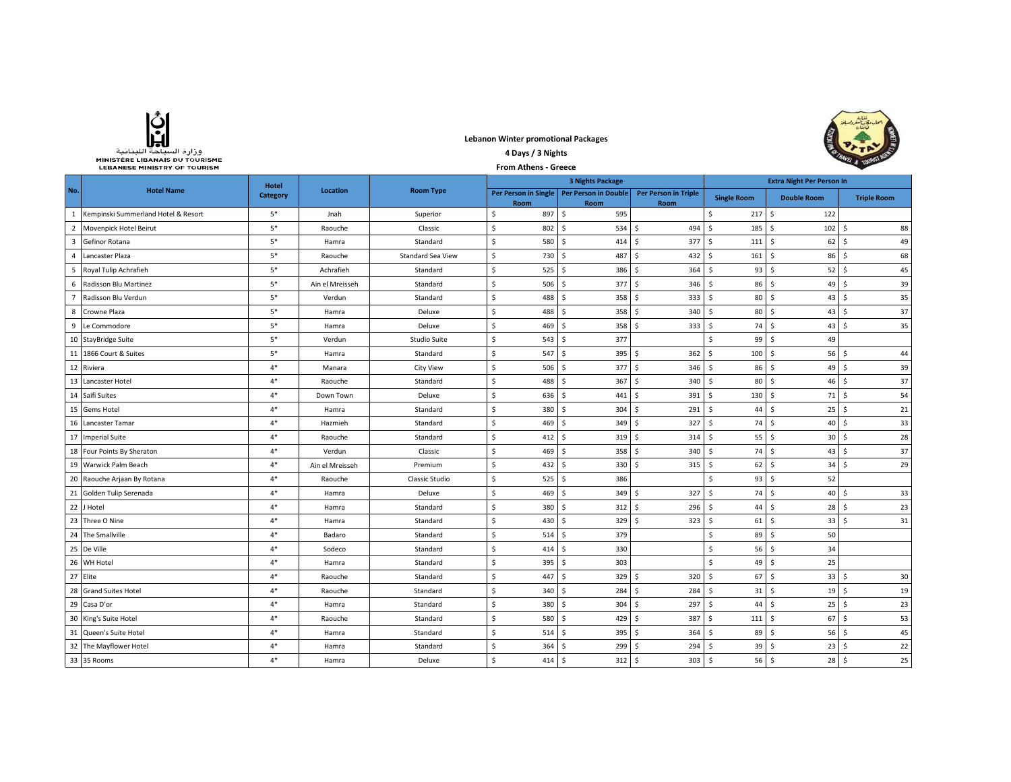

**Lebanon Winter promotional Packages 4 Days / 3 Nights** 



|                | MINISTERE LIBANAIS DU TOURISME<br><b>LEBANESE MINISTRY OF TOURISM</b> |              | SAL & TOURIS    |                     |                         |                                                     |                                     |                                  |                           |                    |
|----------------|-----------------------------------------------------------------------|--------------|-----------------|---------------------|-------------------------|-----------------------------------------------------|-------------------------------------|----------------------------------|---------------------------|--------------------|
|                |                                                                       | <b>Hotel</b> |                 |                     | <b>3 Nights Package</b> |                                                     |                                     | <b>Extra Night Per Person In</b> |                           |                    |
| No.            | <b>Hotel Name</b>                                                     | Category     | Location        | <b>Room Type</b>    | Room                    | Per Person in Single   Per Person in Double<br>Room | <b>Per Person in Triple</b><br>Room | <b>Single Room</b>               | <b>Double Room</b>        | <b>Triple Room</b> |
| 1              | Kempinski Summerland Hotel & Resort                                   | $5*$         | Jnah            | Superior            | \$<br>897               | \$<br>595                                           |                                     | 217S<br>\$                       | 122                       |                    |
| $\overline{2}$ | Movenpick Hotel Beirut                                                | $5*$         | Raouche         | Classic             | $\mathsf S$<br>802      | $\dot{\mathsf{S}}$<br>534                           | \$<br>494                           | $\mathsf{S}$<br>$185$ \$         | 102                       | 88<br>Ŝ            |
| 3              | Gefinor Rotana                                                        | $5*$         | Hamra           | Standard            | \$<br>580               | Ŝ.<br>414                                           | Ś.<br>377                           | $\mathsf{S}$<br>111              | l s<br>62                 | 49<br>Ŝ.           |
| 4              | Lancaster Plaza                                                       | $5^\ast$     | Raouche         | Standard Sea View   | $\frac{1}{2}$<br>730    | 487<br>Ŝ                                            | Ś.<br>432                           | \$<br>161                        | S.<br>86                  | 68<br>S.           |
| 5              | Royal Tulip Achrafieh                                                 | $5^\ast$     | Achrafieh       | Standard            | \$<br>525               | Ŝ<br>386                                            | 364<br>\$                           | \$<br>$93 \mid 5$                | $52 \mid 5$               | 45                 |
| 6              | Radisson Blu Martinez                                                 | $5^\ast$     | Ain el Mreisseh | Standard            | \$<br>506               | 377<br>Ŝ.                                           | Ś.<br>346                           | Ŝ.<br>86                         | S.<br>49                  | 39<br>Ŝ.           |
| $\overline{7}$ | Radisson Blu Verdun                                                   | $5*$         | Verdun          | Standard            | \$<br>488               | 358<br>Ŝ.                                           | Ś.<br>333                           | Ś.<br>80                         | S.<br>43                  | 35<br>Ŝ            |
| 8              | Crowne Plaza                                                          | $5^\ast$     | Hamra           | Deluxe              | \$<br>488               | 358<br>Ŝ.                                           | Ś.<br>340                           | Ś.<br>$80 \quad$ \$              | 43                        | 37<br>Ŝ            |
| 9              | Le Commodore                                                          | $5*$         | Hamra           | Deluxe              | \$<br>469               | <b>S</b><br>358                                     | Ś.<br>333                           | \$<br>74S                        | 43                        | 35<br>Ŝ            |
|                | 10 StayBridge Suite                                                   | $5*$         | Verdun          | <b>Studio Suite</b> | \$<br>543               | \$<br>377                                           |                                     | \$<br>$99 \quad$ \$              | 49                        |                    |
| 11             | 1866 Court & Suites                                                   | $5*$         | Hamra           | Standard            | \$<br>547               | Ŝ<br>395                                            | Ŝ.<br>362                           | \$<br>$100 \quad$ \$             | 56                        | 44<br>-S           |
|                | 12 Riviera                                                            | $4*$         | Manara          | <b>City View</b>    | \$<br>506               | 377S<br>Ŝ                                           | 346                                 | S.<br>$86 \quad$                 | 49                        | 39<br>Ŝ            |
|                | 13 Lancaster Hotel                                                    | $4*$         | Raouche         | Standard            | \$<br>488               | \$<br>367                                           | \$<br>340                           | S.<br>80 <sup>5</sup>            | 46                        | 37<br>\$           |
|                | 14 Saifi Suites                                                       | $4*$         | Down Town       | Deluxe              | \$<br>636               | \$<br>441                                           | \$<br>391                           | \$<br>130S                       | 71                        | 54<br>S.           |
|                | 15 Gems Hotel                                                         | $4*$         | Hamra           | Standard            | \$<br>380               | \$<br>304                                           | \$<br>291                           | Ŝ.<br>44                         | S.<br>25                  | 21<br>l \$         |
|                | 16 Lancaster Tamar                                                    | $4*$         | Hazmieh         | Standard            | \$<br>469               | \$<br>349                                           | Ś.<br>327                           | \$<br>74S                        | 40                        | Ŝ.<br>33           |
|                | 17 Imperial Suite                                                     | $4*$         | Raouche         | Standard            | \$<br>412               | \$<br>319                                           | Ŝ.<br>314                           | \$<br>$55$ $\sqrt{5}$            | $30 \quad S$              | 28                 |
|                | 18 Four Points By Sheraton                                            | $4*$         | Verdun          | Classic             | $\mathsf{S}$<br>469     | 358<br>Ŝ                                            | Ś.<br>340                           | Ŝ.<br>74S                        | 43                        | 37<br>-S           |
| 19             | Warwick Palm Beach                                                    | $4*$         | Ain el Mreisseh | Premium             | \$<br>432               | Ŝ<br>330                                            | $315$ \$<br>\$                      | $62 \mid 5$                      | $34 \overline{\smash{5}}$ | 29                 |
| 20             | Raouche Arjaan By Rotana                                              | $4*$         | Raouche         | Classic Studio      | \$<br>525               | 386<br>Ŝ.                                           |                                     | \$<br>93                         | S.<br>52                  |                    |
|                | 21 Golden Tulip Serenada                                              | $4*$         | Hamra           | Deluxe              | \$<br>469               | <b>S</b><br>349                                     | Ś.<br>327                           | Ś.<br>74                         | S.<br>40                  | 33<br>-Ś           |
|                | 22 J Hotel                                                            | $4*$         | Hamra           | Standard            | \$<br>380               | Ŝ.<br>312                                           | Ŝ.<br>296                           | Ś.<br>44                         | \$<br>28                  | 23<br>-Ś           |
| 23             | Three O Nine                                                          | $4*$         | Hamra           | Standard            | \$<br>430               | 329<br>Ŝ.                                           | Ś.<br>323                           | \$<br>$61 \mid 5$                | 33                        | 31<br>Ŝ            |
|                | 24 The Smallville                                                     | $4*$         | Badaro          | Standard            | \$<br>514               | 379<br>\$                                           |                                     | \$<br>$89 \mid 5$                | 50                        |                    |
|                | 25 De Ville                                                           | $4*$         | Sodeco          | Standard            | \$<br>414               | \$<br>330                                           |                                     | Ś.                               | $56 \quad$<br>34          |                    |
| 26             | WH Hotel                                                              | $4*$         | Hamra           | Standard            | $\sf S$<br>395          | Ŝ<br>303                                            |                                     | Ś.<br>$49 \mid 5$                | 25                        |                    |
|                | 27 Elite                                                              | $4*$         | Raouche         | Standard            | \$<br>447               | 329<br>\$                                           | 320<br>\$                           | Ŝ.<br>67                         | l s<br>33                 | 30<br>-Ŝ           |
| 28             | <b>Grand Suites Hotel</b>                                             | $4*$         | Raouche         | Standard            | \$<br>340               | \$<br>284                                           | \$<br>284                           | \$<br>31                         | $\zeta$<br>19             | 19<br>\$           |
| 29             | Casa D'or                                                             | $4*$         | Hamra           | Standard            | \$<br>380               | \$<br>304                                           | \$<br>297                           | \$<br>44                         | Ŝ.<br>25                  | 23<br>\$           |
| 30             | King's Suite Hotel                                                    | $4*$         | Raouche         | Standard            | \$<br>580               | 429<br>\$                                           | \$<br>387                           | \$<br>$111 \quad$ \$             | 67                        | Ŝ<br>53            |
| 31             | Queen's Suite Hotel                                                   | $4*$         | Hamra           | Standard            | \$<br>514               | \$<br>395                                           | \$<br>364                           | Ŝ.<br>89                         | $\mathsf{S}$<br>56        | 45<br>S.           |
|                | 32 The Mayflower Hotel                                                | $4*$         | Hamra           | Standard            | \$<br>364               | 299<br>-Ŝ                                           | \$<br>294                           | Ŝ.<br>39                         | 23<br>-\$                 | 22<br>-Ŝ           |
|                | 33 35 Rooms                                                           | $4*$         | Hamra           | Deluxe              | Ś.<br>414 \$            | $312 \quad$ \$                                      | 303 <sup>5</sup>                    | $56$ $\sqrt{5}$                  | 28 <sub>5</sub>           | 25                 |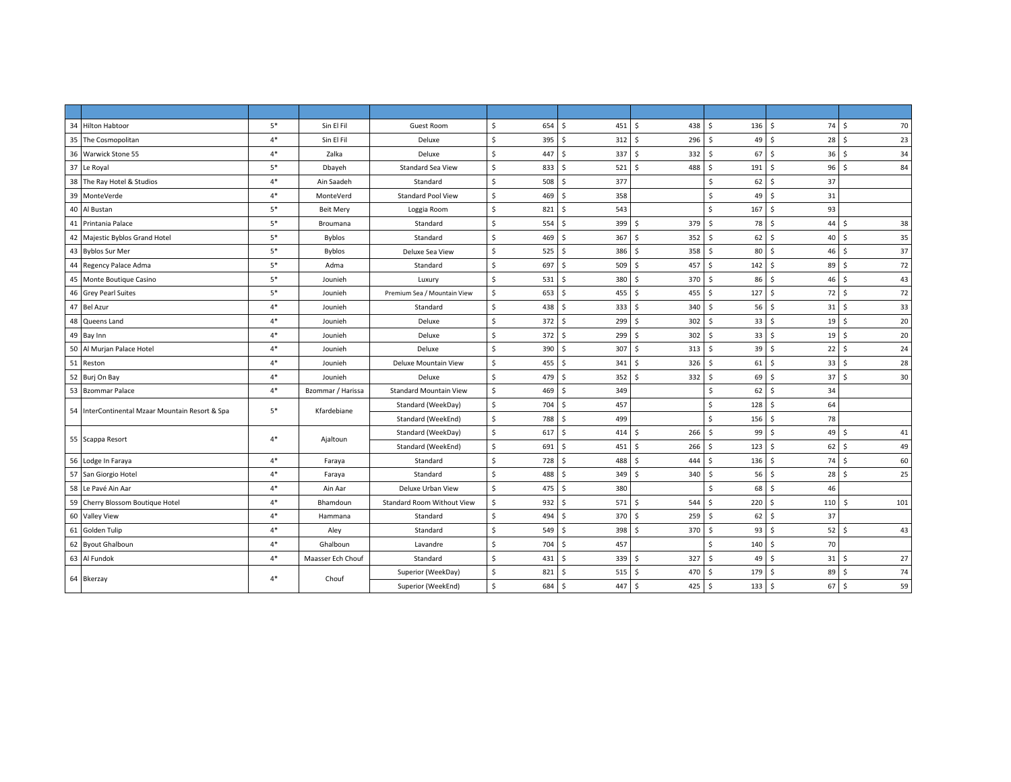| 34 Hilton Habtoor                               | $5*$ | Sin El Fil        | Guest Room                        | \$<br>654 | \$<br>451S            | 438        | \$<br>$136 \quad $$       | 74         | 70<br>- Ś            |
|-------------------------------------------------|------|-------------------|-----------------------------------|-----------|-----------------------|------------|---------------------------|------------|----------------------|
| 35 The Cosmopolitan                             | $4*$ | Sin El Fil        | Deluxe                            | \$<br>395 | \$<br>$312 \quad $$   | 296        | 49<br>Ŝ.                  | 28<br>l \$ | -\$<br>23            |
| 36 Warwick Stone 55                             | $4*$ | Zalka             | Deluxe                            | \$<br>447 | Ś<br>337              | -\$<br>332 | Ŝ.<br>67                  | l \$<br>36 | 34<br>-\$            |
| 37 Le Royal                                     | $5*$ | Dbayeh            | <b>Standard Sea View</b>          | \$<br>833 | Ś<br>521S             | 488        | $\mathsf{\hat{S}}$<br>191 | l \$<br>96 | $\mathsf{s}$<br>84   |
| 38 The Ray Hotel & Studios                      | $4*$ | Ain Saadeh        | Standard                          | 508<br>\$ | Ś<br>377              |            | 62<br>Ŝ.                  | 37<br>۱Ś.  |                      |
| 39<br>MonteVerde                                | $4*$ | MonteVerd         | <b>Standard Pool View</b>         | Ś<br>469  | Š.<br>358             |            | Š.<br>49                  | l \$<br>31 |                      |
| 40<br>Al Bustan                                 | $5*$ | <b>Beit Mery</b>  | Loggia Room                       | Ś.<br>821 | Ś<br>543              |            | \$<br>167                 | 93<br>S.   |                      |
| 41 Printania Palace                             | $5*$ | Broumana          | Standard                          | \$<br>554 | Ś<br>399              | - Ś<br>379 | Ŝ.<br>78                  | 44<br>۱Ś.  | 38<br><sup>5</sup>   |
| 42 Majestic Byblos Grand Hotel                  | $5*$ | <b>Byblos</b>     | Standard                          | Ś.<br>469 | Ś<br>367 <sub>5</sub> | 352        | 62<br>S.                  | 40<br>l S  | 35<br>-Ś             |
| 43 Byblos Sur Mer                               | $5*$ | Byblos            | Deluxe Sea View                   | \$<br>525 | Ś.<br>386 \$          | 358        | Ŝ.<br>80 \$               | 46         | 37<br>- Ś            |
| 44 Regency Palace Adma                          | $5*$ | Adma              | Standard                          | \$<br>697 | Ś<br>509 \$           | 457        | $142 \quad$ \$<br>\$      | 89         | 72<br>-\$            |
| 45 Monte Boutique Casino                        | $5*$ | Jounieh           | Luxury                            | \$<br>531 | \$<br>380 \$          | 370        | Ŝ.<br>86                  | l s<br>46  | 43<br>Ŝ.             |
| 46 Grey Pearl Suites                            | $5*$ | Jounieh           | Premium Sea / Mountain View       | Ś.<br>653 | Ś.<br>$455 \pm 5$     | 455        | 127<br>Ŝ.                 | 72<br>l s  | 72<br>-\$            |
| 47 Bel Azur                                     | $4*$ | Jounieh           | Standard                          | \$<br>438 | Š.<br>3335            | 340        | 56<br>Ŝ.                  | l \$<br>31 | 33<br>S.             |
| 48 Queens Land                                  | $4*$ | Jounieh           | Deluxe                            | \$<br>372 | Ś<br>299              | -Ś<br>302  | Ŝ.<br>33                  | 19<br>l s  | 20<br>-Ś             |
| 49 Bay Inn                                      | $4*$ | Jounieh           | Deluxe                            | \$<br>372 | Ś<br>2995             | 302        | $\mathsf{S}$<br>33        | l s<br>19  | 20<br>Ŝ.             |
| 50 Al Murjan Palace Hotel                       | $4*$ | Jounieh           | Deluxe                            | Ś<br>390  | 307S<br>Ś             | 313        | Ŝ.<br>39                  | 22<br>l \$ | 24<br>-\$            |
| 51 Reston                                       | $4*$ | Jounieh           | Deluxe Mountain View              | \$<br>455 | Ś.<br>341S            | 326        | Ŝ.<br>61                  | l \$<br>33 | 28<br>S.             |
| 52 Burj On Bay                                  | $4*$ | Jounieh           | Deluxe                            | \$<br>479 | Ś<br>352              | 332<br>Ŝ.  | 69<br>Ŝ.                  | l s<br>37  | 30<br>Ŝ.             |
| 53 Bzommar Palace                               | $4*$ | Bzommar / Harissa | <b>Standard Mountain View</b>     | Ś<br>469  | Ś.<br>349             |            | Ŝ.<br>62                  | 34<br>۱Ś.  |                      |
| 54 InterContinental Mzaar Mountain Resort & Spa | $5*$ | Kfardebiane       | Standard (WeekDay)                | \$<br>704 | Ś<br>457              |            | 128<br>\$                 | 64<br>۱s   |                      |
|                                                 |      |                   | Standard (WeekEnd)                | \$<br>788 | Š.<br>499             |            | \$<br>156                 | l \$<br>78 |                      |
| 55 Scappa Resort                                | $4*$ | Ajaltoun          | Standard (WeekDay)                | \$<br>617 | Ś<br>414              | -\$<br>266 | 99<br>\$                  | 49<br>۱Ś.  | 41<br>-S             |
|                                                 |      |                   | Standard (WeekEnd)                | \$<br>691 | \$<br>$451 \,$ \$     | 266        | \$<br>123                 | l \$<br>62 | 49<br>- Ś            |
| 56 Lodge In Faraya                              | $4*$ | Faraya            | Standard                          | \$<br>728 | \$<br>488 \$          | 444        | $136 \quad $$<br>\$       | 74         | 60<br>-\$            |
| 57 San Giorgio Hotel                            | $4*$ | Faraya            | Standard                          | \$<br>488 | Ś<br>349              | Ŝ.<br>340  | $56$ \$<br>Ŝ.             | 28         | 25<br>Ŝ              |
| 58 Le Pavé Ain Aar                              | $4*$ | Ain Aar           | Deluxe Urban View                 | \$<br>475 | Ś<br>380              |            | <sub>S</sub><br>68        | 46<br>l s  |                      |
| 59 Cherry Blossom Boutique Hotel                | $4*$ | Bhamdoun          | <b>Standard Room Without View</b> | Ś<br>932  | Ś.<br>571S            | 544        | 220<br>Ŝ.                 | l s<br>110 | 101<br><sup>\$</sup> |
| 60 Valley View                                  | $4*$ | Hammana           | Standard                          | \$<br>494 | Š.<br>370 \$          | 259        | 62<br>Ŝ.                  | 37<br>l s  |                      |
| 61 Golden Tulip                                 | $4*$ | Aley              | Standard                          | Ś.<br>549 | 398 \$<br>Ś.          | 370        | 93<br>Ŝ.                  | l \$<br>52 | 43<br>-Ś             |
| 62 Byout Ghalboun                               | $4*$ | Ghalboun          | Lavandre                          | \$<br>704 | Ś<br>457              |            | Ŝ.<br>140                 | 70<br>l \$ |                      |
| 63 Al Fundok                                    | $4*$ | Maasser Ech Chouf | Standard                          | \$<br>431 | Ś<br>339 \$           | 327        | Ŝ.<br>$49$ \$             | 31         | 27<br>- Ś            |
| 64 Bkerzay                                      |      |                   | Superior (WeekDay)                | \$<br>821 | Ś.<br>515S            | 470        | Ŝ.<br>179                 | 89<br>l \$ | 74<br>-\$            |
|                                                 | $4*$ | Chouf             | Superior (WeekEnd)                | \$<br>684 | $\sim$<br>447 \$      | 425        | $133 \quad $$<br>\$       | 67         | 59<br>l\$            |